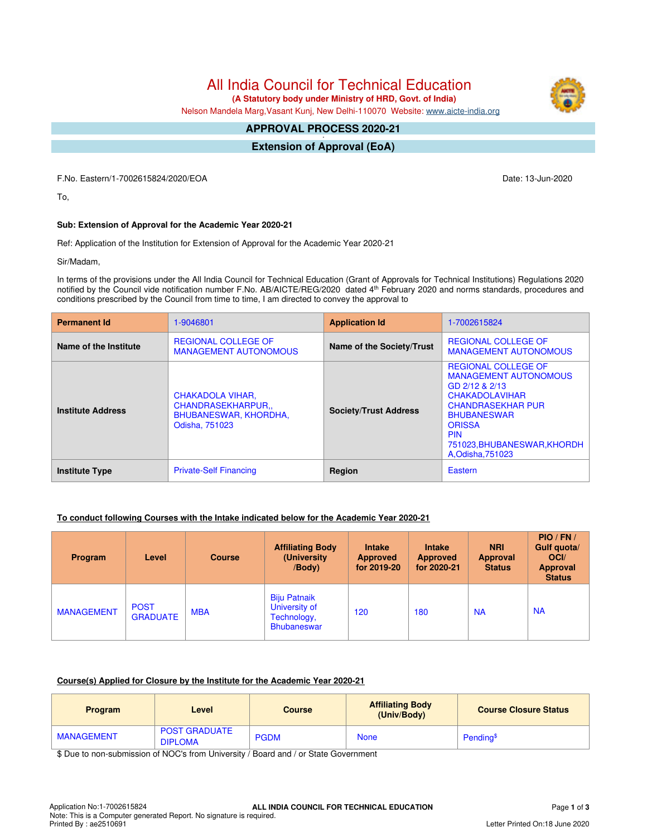All India Council for Technical Education

 **(A Statutory body under Ministry of HRD, Govt. of India)**

Nelson Mandela Marg,Vasant Kunj, New Delhi-110070 Website: [www.aicte-india.org](http://www.aicte-india.org)

#### **APPROVAL PROCESS 2020-21 -**

**Extension of Approval (EoA)**

F.No. Eastern/1-7002615824/2020/EOA Date: 13-Jun-2020

To,

# **Sub: Extension of Approval for the Academic Year 2020-21**

Ref: Application of the Institution for Extension of Approval for the Academic Year 2020-21

Sir/Madam,

In terms of the provisions under the All India Council for Technical Education (Grant of Approvals for Technical Institutions) Regulations 2020 notified by the Council vide notification number F.No. AB/AICTE/REG/2020 dated 4th February 2020 and norms standards, procedures and conditions prescribed by the Council from time to time, I am directed to convey the approval to

| <b>Permanent Id</b>      | 1-9046801                                                                                     | <b>Application Id</b>        | 1-7002615824                                                                                                                                                                                                                               |  |
|--------------------------|-----------------------------------------------------------------------------------------------|------------------------------|--------------------------------------------------------------------------------------------------------------------------------------------------------------------------------------------------------------------------------------------|--|
| Name of the Institute    | <b>REGIONAL COLLEGE OF</b><br><b>MANAGEMENT AUTONOMOUS</b>                                    | Name of the Society/Trust    | <b>REGIONAL COLLEGE OF</b><br><b>MANAGEMENT AUTONOMOUS</b>                                                                                                                                                                                 |  |
| <b>Institute Address</b> | <b>CHAKADOLA VIHAR,</b><br>CHANDRASEKHARPUR<br><b>BHUBANESWAR, KHORDHA,</b><br>Odisha, 751023 | <b>Society/Trust Address</b> | <b>REGIONAL COLLEGE OF</b><br><b>MANAGEMENT AUTONOMOUS</b><br>GD 2/12 & 2/13<br><b>CHAKADOLAVIHAR</b><br><b>CHANDRASEKHAR PUR</b><br><b>BHUBANESWAR</b><br><b>ORISSA</b><br><b>PIN</b><br>751023, BHUBANESWAR, KHORDH<br>A, Odisha, 751023 |  |
| <b>Institute Type</b>    | <b>Private-Self Financing</b>                                                                 | Region                       | Eastern                                                                                                                                                                                                                                    |  |

### **To conduct following Courses with the Intake indicated below for the Academic Year 2020-21**

| <b>Program</b>    | Level                          | <b>Course</b> | <b>Affiliating Body</b><br>(University)<br>$\sqrt{$ Body $)$              | <b>Intake</b><br><b>Approved</b><br>for 2019-20 | <b>Intake</b><br><b>Approved</b><br>for 2020-21 | <b>NRI</b><br><b>Approval</b><br><b>Status</b> | $PIO$ / $FN$ /<br>Gulf quota/<br>OCI/<br><b>Approval</b><br><b>Status</b> |
|-------------------|--------------------------------|---------------|---------------------------------------------------------------------------|-------------------------------------------------|-------------------------------------------------|------------------------------------------------|---------------------------------------------------------------------------|
| <b>MANAGEMENT</b> | <b>POST</b><br><b>GRADUATE</b> | <b>MBA</b>    | <b>Biju Patnaik</b><br>University of<br>Technology,<br><b>Bhubaneswar</b> | 120                                             | 180                                             | <b>NA</b>                                      | <b>NA</b>                                                                 |

### **Course(s) Applied for Closure by the Institute for the Academic Year 2020-21**

| <b>Program</b>    | Level                                  | <b>Course</b> | <b>Affiliating Body</b><br>(Univ/Body) | <b>Course Closure Status</b> |
|-------------------|----------------------------------------|---------------|----------------------------------------|------------------------------|
| <b>MANAGEMENT</b> | <b>POST GRADUATE</b><br><b>DIPLOMA</b> | <b>PGDM</b>   | <b>None</b>                            | Pending <sup>\$</sup>        |

\$ Due to non-submission of NOC's from University / Board and / or State Government

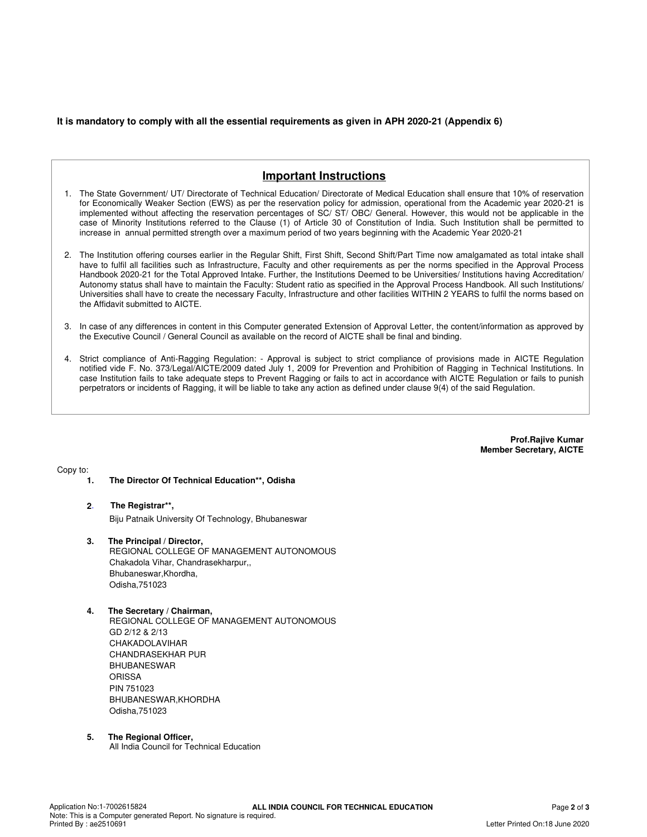#### **It is mandatory to comply with all the essential requirements as given in APH 2020-21 (Appendix 6)**

# **Important Instructions**

- 1. The State Government/ UT/ Directorate of Technical Education/ Directorate of Medical Education shall ensure that 10% of reservation for Economically Weaker Section (EWS) as per the reservation policy for admission, operational from the Academic year 2020-21 is implemented without affecting the reservation percentages of SC/ ST/ OBC/ General. However, this would not be applicable in the case of Minority Institutions referred to the Clause (1) of Article 30 of Constitution of India. Such Institution shall be permitted to increase in annual permitted strength over a maximum period of two years beginning with the Academic Year 2020-21
- 2. The Institution offering courses earlier in the Regular Shift, First Shift, Second Shift/Part Time now amalgamated as total intake shall have to fulfil all facilities such as Infrastructure, Faculty and other requirements as per the norms specified in the Approval Process Handbook 2020-21 for the Total Approved Intake. Further, the Institutions Deemed to be Universities/ Institutions having Accreditation/ Autonomy status shall have to maintain the Faculty: Student ratio as specified in the Approval Process Handbook. All such Institutions/ Universities shall have to create the necessary Faculty, Infrastructure and other facilities WITHIN 2 YEARS to fulfil the norms based on the Affidavit submitted to AICTE.
- 3. In case of any differences in content in this Computer generated Extension of Approval Letter, the content/information as approved by the Executive Council / General Council as available on the record of AICTE shall be final and binding.
- 4. Strict compliance of Anti-Ragging Regulation: Approval is subject to strict compliance of provisions made in AICTE Regulation notified vide F. No. 373/Legal/AICTE/2009 dated July 1, 2009 for Prevention and Prohibition of Ragging in Technical Institutions. In case Institution fails to take adequate steps to Prevent Ragging or fails to act in accordance with AICTE Regulation or fails to punish perpetrators or incidents of Ragging, it will be liable to take any action as defined under clause 9(4) of the said Regulation.

**Prof.Rajive Kumar Member Secretary, AICTE**

Copy to:

- **1. The Director Of Technical Education\*\*, Odisha**
- **2**. **The Registrar\*\*,** Biju Patnaik University Of Technology, Bhubaneswar
- **3. The Principal / Director,** REGIONAL COLLEGE OF MANAGEMENT AUTONOMOUS Chakadola Vihar, Chandrasekharpur,, Bhubaneswar,Khordha, Odisha,751023
- **4. The Secretary / Chairman,** REGIONAL COLLEGE OF MANAGEMENT AUTONOMOUS GD 2/12 & 2/13 CHAKADOLAVIHAR CHANDRASEKHAR PUR BHUBANESWAR **ORISSA** PIN 751023 BHUBANESWAR,KHORDHA Odisha,751023
- **5. The Regional Officer,** All India Council for Technical Education